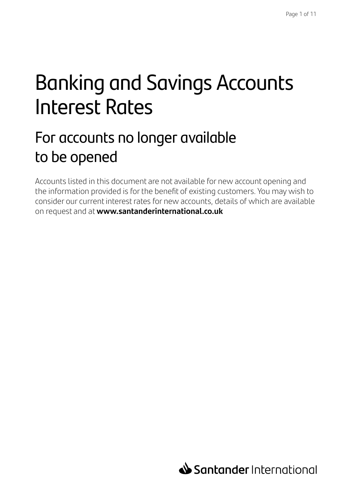# Banking and Savings Accounts Interest Rates

## For accounts no longer available to be opened

Accounts listed in this document are not available for new account opening and the information provided is for the benefit of existing customers. You may wish to consider our current interest rates for new accounts, details of which are available on request and at **www.santanderinternational.co.uk** 

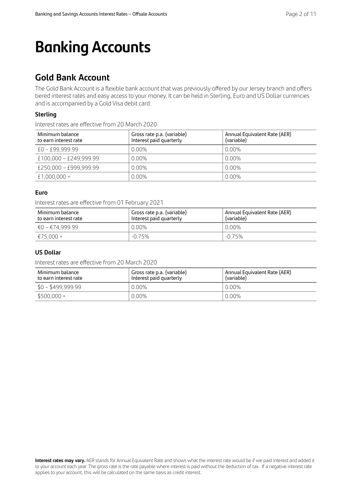## **Banking Accounts**

## **Gold Bank Account**

The Gold Bank Account is a flexible bank account that was previously offered by our Jersey branch and offers tiered interest rates and easy access to your money. It can be held in Sterling, Euro and US Dollar currencies and is accompanied by a Gold Visa debit card.

### **Sterling**

Interest rates are effective from 20 March 2020

| Minimum balance<br>to earn interest rate | Gross rate p.a. (variable)<br>Interest paid quarterly | Annual Equivalent Rate (AER)<br>(variable) |
|------------------------------------------|-------------------------------------------------------|--------------------------------------------|
| $£0 - £99.999.99$                        | 0.00%                                                 | $0.00\%$                                   |
| £100,000 - £249,999.99                   | 0.00%                                                 | 0.00%                                      |
| £250.000 - £999.999.99                   | 0.00%                                                 | 0.00%                                      |
| $£1.000.000 +$                           | $0.00\%$                                              | $0.00\%$                                   |

#### **Euro**

Interest rates are effective from 01 February 2021

| Minimum balance<br>to earn interest rate | Gross rate p.a. (variable)<br>Interest paid quarterly | Annual Equivalent Rate (AER)<br>(variable) |  |
|------------------------------------------|-------------------------------------------------------|--------------------------------------------|--|
| €0 – €74.999.99                          | $0.00\%$                                              | 0.00%                                      |  |
| €75.000 +                                | $-0.75%$                                              | $-0.75%$                                   |  |

### **US Dollar**

Interest rates are effective from 20 March 2020

| Minimum balance<br>to earn interest rate | Gross rate p.a. (variable)<br>Interest paid quarterly | Annual Equivalent Rate (AER)<br>(variable) |  |
|------------------------------------------|-------------------------------------------------------|--------------------------------------------|--|
| $$0 - $499.999.99$                       | 0.00%                                                 | 0.00%                                      |  |
| $$500.000 +$                             | $0.00\%$                                              | 0.00%                                      |  |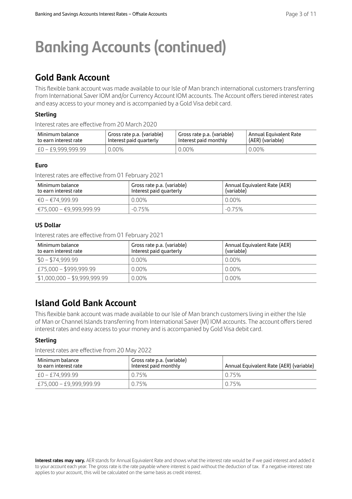## **Banking Accounts (continued)**

## **Gold Bank Account**

This flexible bank account was made available to our Isle of Man branch international customers transferring from International Saver IOM and/or Currency Account IOM accounts. The Account offers tiered interest rates and easy access to your money and is accompanied by a Gold Visa debit card.

### **Sterling**

Interest rates are effective from 20 March 2020

| Minimum balance       | Gross rate p.a. (variable) | Gross rate p.a. (variable) | Annual Equivalent Rate |
|-----------------------|----------------------------|----------------------------|------------------------|
| to earn interest rate | Interest paid quarterly    | Interest paid monthly      | (AER) (variable)       |
| £0 – £9.999.999.99    | $0.00\%$                   | $0.00\%$                   | $0.00\%$               |

### **Euro**

Interest rates are effective from 01 February 2021

| Minimum balance<br>to earn interest rate | Gross rate p.a. (variable)<br>Interest paid quarterly | Annual Equivalent Rate (AER)<br>(variable) |
|------------------------------------------|-------------------------------------------------------|--------------------------------------------|
| €0 – €74.999.99                          | $0.00\%$                                              | $0.00\%$                                   |
| €75.000 - €9.999.999.99                  | $-0.75%$                                              | $-0.75%$                                   |

### **US Dollar**

Interest rates are effective from 01 February 2021

| Minimum balance<br>to earn interest rate | Gross rate p.a. (variable)<br>Interest paid quarterly | Annual Equivalent Rate (AER)<br>(variable) |
|------------------------------------------|-------------------------------------------------------|--------------------------------------------|
| $$0 - $74,999.99$                        | $0.00\%$                                              | 0.00%                                      |
| £75,000 - \$999,999,99                   | $0.00\%$                                              | 0.00%                                      |
| $$1,000,000 - $9,999,999.99$             | $0.00\%$                                              | 0.00%                                      |

## **Island Gold Bank Account**

This flexible bank account was made available to our Isle of Man branch customers living in either the Isle of Man or Channel Islands transferring from International Saver (M) IOM accounts. The account offers tiered interest rates and easy access to your money and is accompanied by Gold Visa debit card.

### **Sterling**

Interest rates are effective from 20 May 2022

| Minimum balance<br>to earn interest rate | Gross rate p.a. (variable)<br>Interest paid monthly | Annual Equivalent Rate (AER) (variable) |
|------------------------------------------|-----------------------------------------------------|-----------------------------------------|
| £0 – £74,999.99                          | 0.75%                                               | 0.75%                                   |
| £75,000 - £9,999,999.99                  | 0.75%                                               | 0.75%                                   |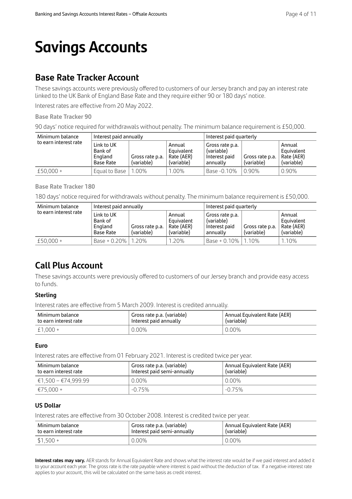## **Savings Accounts**

## **Base Rate Tracker Account**

These savings accounts were previously offered to customers of our Jersey branch and pay an interest rate linked to the UK Bank of England Base Rate and they require either 90 or 180 days' notice.

Interest rates are effective from 20 May 2022.

**Base Rate Tracker 90** 

90 days' notice required for withdrawals without penalty. The minimum balance requirement is £50,000.

| Minimum balance       | Interest paid annually                        |                               |                                                  | Interest paid quarterly                                    |                               |                                                  |
|-----------------------|-----------------------------------------------|-------------------------------|--------------------------------------------------|------------------------------------------------------------|-------------------------------|--------------------------------------------------|
| to earn interest rate | Link to UK<br>Bank of<br>England<br>Base Rate | Gross rate p.a.<br>(variable) | Annual<br>Equivalent<br>Rate (AER)<br>(variable) | Gross rate p.a.<br>(variable)<br>Interest paid<br>annually | Gross rate p.a.<br>(variable) | Annual<br>Equivalent<br>Rate (AER)<br>(variable) |
| £50.000 +             | Equal to Base                                 | 1.00%                         | $.00\%$                                          | Base -0.10%                                                | 0.90%                         | 0.90%                                            |

#### **Base Rate Tracker 180**

180 days' notice required for withdrawals without penalty. The minimum balance requirement is £50,000.

| Minimum balance       | Interest paid annually                        |                               |                                                  | Interest paid quarterly                                    |                               |                                                  |
|-----------------------|-----------------------------------------------|-------------------------------|--------------------------------------------------|------------------------------------------------------------|-------------------------------|--------------------------------------------------|
| to earn interest rate | Link to UK<br>Bank of<br>England<br>Base Rate | Gross rate p.a.<br>(variable) | Annual<br>Equivalent<br>Rate (AER)<br>(variable) | Gross rate p.a.<br>(variable)<br>Interest paid<br>annually | Gross rate p.a.<br>(variable) | Annual<br>Equivalent<br>Rate (AER)<br>(variable) |
| $£50.000 +$           | Base + 0.20%   1.20%                          |                               | 1.20%                                            | Base + 0.10%   1.10%                                       |                               | 1.10%                                            |

## **Call Plus Account**

These savings accounts were previously offered to customers of our Jersey branch and provide easy access to funds.

### **Sterling**

Interest rates are effective from 5 March 2009. Interest is credited annually.

| Minimum balance       | <sup>'</sup> Gross rate p.a. (variable) | Annual Equivalent Rate (AER) |  |
|-----------------------|-----------------------------------------|------------------------------|--|
| to earn interest rate | Interest paid annually                  | (variable)                   |  |
| £1.000 +              | 0.00%                                   | 0.00%                        |  |

#### **Euro**

Interest rates are effective from 01 February 2021. Interest is credited twice per year.

| Minimum balance<br>to earn interest rate | Gross rate p.a. (variable)<br>Interest paid semi-annually | Annual Equivalent Rate (AER)<br>(variable) |
|------------------------------------------|-----------------------------------------------------------|--------------------------------------------|
| €1.500 – €74.999.99                      | $0.00\%$                                                  | $0.00\%$                                   |
| €75.000 +                                | $-0.75%$                                                  | $-0.75%$                                   |

#### **US Dollar**

Interest rates are effective from 30 October 2008. Interest is credited twice per year.

| Minimum balance       | Gross rate p.a. (variable)  | Annual Equivalent Rate (AER) |  |
|-----------------------|-----------------------------|------------------------------|--|
| to earn interest rate | Interest paid semi-annually | (variable)                   |  |
| $$1.500 +$            | 0.00%                       | 0.00%                        |  |

**Interest rates may vary.** AER stands for Annual Equivalent Rate and shows what the interest rate would be if we paid interest and added it to your account each year. The gross rate is the rate payable where interest is paid without the deduction of tax. If a negative interest rate applies to your account, this will be calculated on the same basis as credit interest.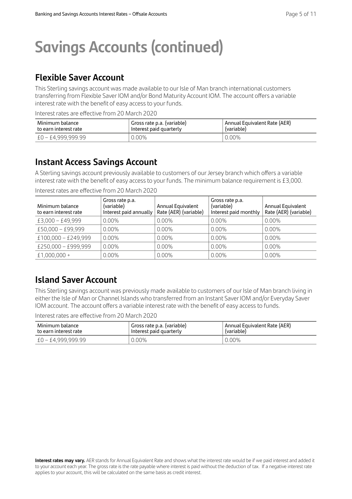### **Flexible Saver Account**

This Sterling savings account was made available to our Isle of Man branch international customers transferring from Flexible Saver IOM and/or Bond Maturity Account IOM. The account offers a variable interest rate with the benefit of easy access to your funds.

Interest rates are effective from 20 March 2020

| Minimum balance       | <sup>1</sup> Gross rate p.a. (variable) | ' Annual Equivalent Rate (AER) |  |
|-----------------------|-----------------------------------------|--------------------------------|--|
| to earn interest rate | Interest paid quarterly                 | (variable)                     |  |
| £0 – £4,999,999.99    | ).00%                                   | $0.00\%$                       |  |

### **Instant Access Savings Account**

A Sterling savings account previously available to customers of our Jersey branch which offers a variable interest rate with the benefit of easy access to your funds. The minimum balance requirement is £3,000.

| Minimum balance<br>to earn interest rate | Gross rate p.a.<br>(variable)<br>Interest paid annually | Annual Equivalent<br>Rate (AER) (variable) | Gross rate p.a.<br>(variable)<br>Interest paid monthly | Annual Equivalent<br>Rate (AER) (variable) |
|------------------------------------------|---------------------------------------------------------|--------------------------------------------|--------------------------------------------------------|--------------------------------------------|
| £3,000 - £49,999                         | $0.00\%$                                                | $0.00\%$                                   | $0.00\%$                                               | $0.00\%$                                   |
| £50,000 - £99,999                        | $0.00\%$                                                | $0.00\%$                                   | $0.00\%$                                               | $0.00\%$                                   |
| £100,000 - £249,999                      | $0.00\%$                                                | $0.00\%$                                   | $0.00\%$                                               | $0.00\%$                                   |
| £250,000 - £999,999                      | $0.00\%$                                                | $0.00\%$                                   | $0.00\%$                                               | $0.00\%$                                   |
| £1,000,000 +                             | 0.00%                                                   | $0.00\%$                                   | $0.00\%$                                               | $0.00\%$                                   |

Interest rates are effective from 20 March 2020

## **Island Saver Account**

This Sterling savings account was previously made available to customers of our Isle of Man branch living in either the Isle of Man or Channel Islands who transferred from an Instant Saver IOM and/or Everyday Saver IOM account. The account offers a variable interest rate with the benefit of easy access to funds.

Interest rates are effective from 20 March 2020

| Minimum balance       | Gross rate p.a. (variable) | Annual Equivalent Rate (AER) |
|-----------------------|----------------------------|------------------------------|
| to earn interest rate | Interest paid quarterly    | (variable)                   |
| £0 – £4,999,999.99    | 0.00%                      | ጋ በበ%                        |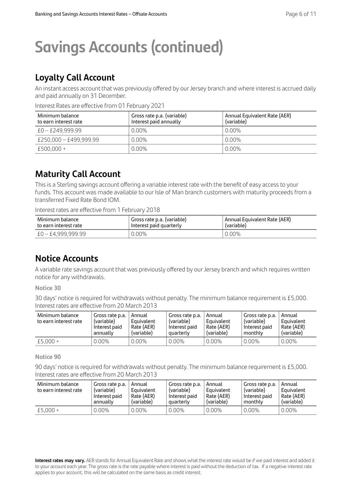## **Loyalty Call Account**

An instant access account that was previously offered by our Jersey branch and where interest is accrued daily and paid annually on 31 December.

Interest Rates are effective from 01 February 2021

| Minimum balance<br>to earn interest rate | Gross rate p.a. (variable)<br>Interest paid annually | Annual Equivalent Rate (AER)<br>(variable) |
|------------------------------------------|------------------------------------------------------|--------------------------------------------|
| £0 - £249.999.99                         | 0.00%                                                | 0.00%                                      |
| £250.000 - £499.999.99                   | 0.00%                                                | 0.00%                                      |
| £500.000 +                               | $0.00\%$                                             | 0.00%                                      |

## **Maturity Call Account**

This is a Sterling savings account offering a variable interest rate with the benefit of easy access to your funds. This account was made available to our Isle of Man branch customers with maturity proceeds from a transferred Fixed Rate Bond IOM.

Interest rates are effective from 1 February 2018

| Minimum balance       | ' Gross rate p.a. (variable) | Annual Equivalent Rate (AER) |
|-----------------------|------------------------------|------------------------------|
| to earn interest rate | Interest paid quarterly      | (variable)                   |
| £0 - £4,999,999.99    | 0.00%                        | $0.00\%$                     |

## **Notice Accounts**

A variable rate savings account that was previously offered by our Jersey branch and which requires written notice for any withdrawals.

**Notice 30** 

30 days' notice is required for withdrawals without penalty. The minimum balance requirement is £5,000. Interest rates are effective from 20 March 2013

| Minimum balance<br>to earn interest rate | Gross rate p.a.   Annual<br>(variable)<br>Interest paid<br>annually | Equivalent<br>Rate (AER)<br>(variable) | Gross rate p.a.<br>(variable)<br>Interest paid<br>quarterly | Annual<br>Equivalent<br>Rate (AER)<br>(variable) | Gross rate p.a.<br>(variable)<br>Interest paid<br>monthly | Annual<br>Equivalent<br>Rate (AER)<br>(variable) |
|------------------------------------------|---------------------------------------------------------------------|----------------------------------------|-------------------------------------------------------------|--------------------------------------------------|-----------------------------------------------------------|--------------------------------------------------|
| £5.000 +                                 | 0.00%                                                               | $0.00\%$                               | $0.00\%$                                                    | $0.00\%$                                         | $0.00\%$                                                  | $0.00\%$                                         |

**Notice 90** 

90 days' notice is required for withdrawals without penalty. The minimum balance requirement is £5,000. Interest rates are effective from 20 March 2013

| Minimum balance<br>to earn interest rate | Gross rate p.a.<br>(variable)<br>Interest paid<br>annually | Annual<br>Equivalent<br>Rate (AER)<br>(variable) | Gross rate p.a.<br>(variable)<br>Interest paid<br>quarterly | Annual<br>Equivalent<br>Rate (AER)<br>(variable) | Gross rate p.a.<br>(variable)<br>Interest paid<br>monthly | Annual<br>Equivalent<br>Rate (AER)<br>(variable) |
|------------------------------------------|------------------------------------------------------------|--------------------------------------------------|-------------------------------------------------------------|--------------------------------------------------|-----------------------------------------------------------|--------------------------------------------------|
| £5.000 +                                 | $0.00\%$                                                   | $0.00\%$                                         | $0.00\%$                                                    | $0.00\%$                                         | $0.00\%$                                                  | $0.00\%$                                         |

**Interest rates may vary.** AER stands for Annual Equivalent Rate and shows what the interest rate would be if we paid interest and added it to your account each year. The gross rate is the rate payable where interest is paid without the deduction of tax. If a negative interest rate applies to your account, this will be calculated on the same basis as credit interest.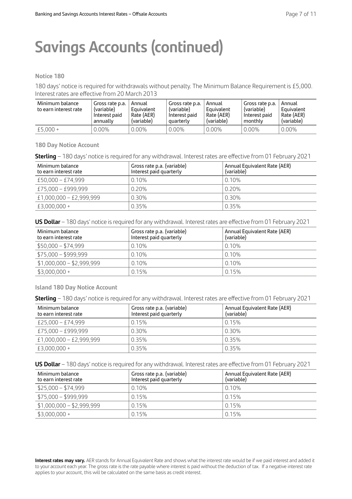### **Notice 180**

180 days' notice is required for withdrawals without penalty. The Minimum Balance Requirement is £5,000. Interest rates are effective from 20 March 2013

| Minimum balance<br>to earn interest rate | Gross rate p.a.<br>(variable)<br>Interest paid<br>annually | Annual<br>Equivalent<br>Rate (AER)<br>(variable) | Gross rate p.a.<br>(variable)<br>Interest paid<br>quarterly | Annual<br>Equivalent<br>Rate (AER)<br>(variable) | Gross rate p.a.<br>(variable)<br>Interest paid<br>monthly | Annual<br>Equivalent<br>Rate (AER)<br>(variable) |
|------------------------------------------|------------------------------------------------------------|--------------------------------------------------|-------------------------------------------------------------|--------------------------------------------------|-----------------------------------------------------------|--------------------------------------------------|
| £5.000 +                                 | 0.00%                                                      | 0.00%                                            | $0.00\%$                                                    | $0.00\%$                                         | $0.00\%$                                                  | $0.00\%$                                         |

#### **180 Day Notice Account**

**Sterling** – 180 days' notice is required for any withdrawal. Interest rates are effective from 01 February 2021

| Minimum balance<br>to earn interest rate | Gross rate p.a. (variable)<br>Interest paid quarterly | Annual Equivalent Rate (AER)<br>(variable) |
|------------------------------------------|-------------------------------------------------------|--------------------------------------------|
| £50,000 - £74,999                        | 0.10%                                                 | 0.10%                                      |
| £75,000 - £999,999                       | 0.20%                                                 | 0.20%                                      |
| £1,000,000 - £2,999,999                  | $0.30\%$                                              | 0.30%                                      |
| £3,000,000 +                             | 0.35%                                                 | 0.35%                                      |

**US Dollar** – 180 days' notice is required for any withdrawal. Interest rates are effective from 01 February 2021

| Minimum balance<br>to earn interest rate | Gross rate p.a. (variable)<br>Interest paid quarterly | Annual Equivalent Rate (AER)<br>(variable) |
|------------------------------------------|-------------------------------------------------------|--------------------------------------------|
| $$50,000 - $74,999$                      | $0.10\%$                                              | 0.10%                                      |
| $$75.000 - $999.999$                     | $0.10\%$                                              | 0.10%                                      |
| $$1,000,000 - $2,999,999$                | 0.10%                                                 | 0.10%                                      |
| $$3,000,000 +$                           | 0.15%                                                 | 0.15%                                      |

#### **Island 180 Day Notice Account**

**Sterling** – 180 days' notice is required for any withdrawal. Interest rates are effective from 01 February 2021

| Minimum balance<br>to earn interest rate | Gross rate p.a. (variable)<br>Interest paid quarterly | Annual Equivalent Rate (AER)<br>(variable) |
|------------------------------------------|-------------------------------------------------------|--------------------------------------------|
| £25,000 - £74,999                        | 0.15%                                                 | 0.15%                                      |
| £75,000 - £999,999                       | 0.30%                                                 | 0.30%                                      |
| £1,000,000 - £2,999,999                  | 0.35%                                                 | 0.35%                                      |
| $£3.000.000 +$                           | 0.35%                                                 | 0.35%                                      |

| <b>US Dollar</b> – 180 days' notice is required for any withdrawal. Interest rates are effective from 01 February 2021 |  |  |
|------------------------------------------------------------------------------------------------------------------------|--|--|
|------------------------------------------------------------------------------------------------------------------------|--|--|

| Minimum balance<br>to earn interest rate | Gross rate p.a. (variable)<br>Interest paid quarterly | Annual Equivalent Rate (AER)<br>(variable) |
|------------------------------------------|-------------------------------------------------------|--------------------------------------------|
| $$25,000 - $74,999$                      | 0.10%                                                 | 0.10%                                      |
| $$75,000 - $999,999$                     | 0.15%                                                 | 0.15%                                      |
| $$1,000,000 - $2,999,999$                | 0.15%                                                 | 0.15%                                      |
| $$3,000,000 +$                           | 0.15%                                                 | 0.15%                                      |

**Interest rates may vary.** AER stands for Annual Equivalent Rate and shows what the interest rate would be if we paid interest and added it to your account each year. The gross rate is the rate payable where interest is paid without the deduction of tax. If a negative interest rate applies to your account, this will be calculated on the same basis as credit interest.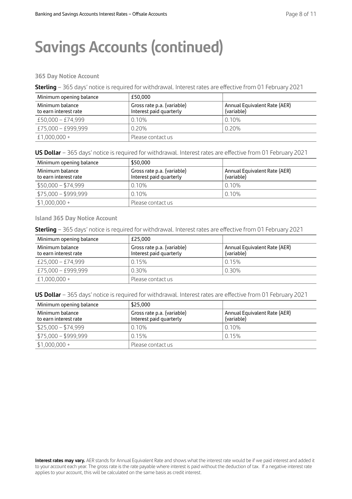#### **365 Day Notice Account**

### **Sterling** – 365 days' notice is required for withdrawal. Interest rates are effective from 01 February 2021

| Minimum opening balance                  | £50.000                                               |                                            |
|------------------------------------------|-------------------------------------------------------|--------------------------------------------|
| Minimum balance<br>to earn interest rate | Gross rate p.a. (variable)<br>Interest paid quarterly | Annual Equivalent Rate (AER)<br>(variable) |
| £50,000 - £74,999                        | $0.10\%$                                              | 0.10%                                      |
| £75,000 - £999,999                       | $0.20\%$                                              | 0.20%                                      |
| £1,000,000 +                             | Please contactus                                      |                                            |

| <b>US Dollar</b> - 365 days' notice is required for withdrawal. Interest rates are effective from 01 February 2021 |  |
|--------------------------------------------------------------------------------------------------------------------|--|
|--------------------------------------------------------------------------------------------------------------------|--|

| Minimum opening balance                  | \$50,000                                              |                                            |
|------------------------------------------|-------------------------------------------------------|--------------------------------------------|
| Minimum balance<br>to earn interest rate | Gross rate p.a. (variable)<br>Interest paid quarterly | Annual Equivalent Rate (AER)<br>(variable) |
| $$50,000 - $74,999$                      | 0.10%                                                 | 0.10%                                      |
| $$75,000 - $999,999$                     | 0.10%                                                 | 0.10%                                      |
| $$1,000,000 +$                           | Please contact us                                     |                                            |

### **Island 365 Day Notice Account**

**Sterling** – 365 days' notice is required for withdrawal. Interest rates are effective from 01 February 2021

| Minimum opening balance                  | £25.000                                               |                                            |
|------------------------------------------|-------------------------------------------------------|--------------------------------------------|
| Minimum balance<br>to earn interest rate | Gross rate p.a. (variable)<br>Interest paid quarterly | Annual Equivalent Rate (AER)<br>(variable) |
| £25,000 - £74,999                        | 0.15%                                                 | 0.15%                                      |
| £75,000 - £999,999                       | 0.30%                                                 | 0.30%                                      |
| $£1.000.000 +$                           | Please contact us                                     |                                            |

**US Dollar** – 365 days' notice is required for withdrawal. Interest rates are effective from 01 February 2021

| Minimum opening balance                  | \$25,000                                              |                                            |
|------------------------------------------|-------------------------------------------------------|--------------------------------------------|
| Minimum balance<br>to earn interest rate | Gross rate p.a. (variable)<br>Interest paid quarterly | Annual Equivalent Rate (AER)<br>(variable) |
| $$25,000 - $74,999$                      | 0.10%                                                 | 0.10%                                      |
| $$75,000 - $999,999$                     | 0.15%                                                 | 0.15%                                      |
| $$1,000,000 +$                           | Please contact us                                     |                                            |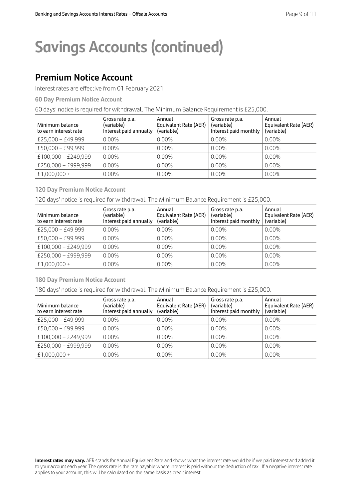## **Premium Notice Account**

Interest rates are effective from 01 February 2021

**60 Day Premium Notice Account** 

60 days' notice is required for withdrawal. The Minimum Balance Requirement is £25,000.

| Minimum balance<br>to earn interest rate | Gross rate p.a.<br>(variable)<br>Interest paid annually | Annual<br>Equivalent Rate (AER)<br>(variable) | Gross rate p.a.<br>(variable)<br>Interest paid monthly | Annual<br>Equivalent Rate (AER)<br>(variable) |
|------------------------------------------|---------------------------------------------------------|-----------------------------------------------|--------------------------------------------------------|-----------------------------------------------|
| £25,000 - £49,999                        | $0.00\%$                                                | $0.00\%$                                      | $0.00\%$                                               | $0.00\%$                                      |
| £50,000 - £99,999                        | $0.00\%$                                                | $0.00\%$                                      | $0.00\%$                                               | $0.00\%$                                      |
| £100,000 - £249,999                      | $0.00\%$                                                | $0.00\%$                                      | $0.00\%$                                               | $0.00\%$                                      |
| £250,000 - £999,999                      | $0.00\%$                                                | $0.00\%$                                      | $0.00\%$                                               | $0.00\%$                                      |
| £1,000,000 +                             | $0.00\%$                                                | $0.00\%$                                      | $0.00\%$                                               | $0.00\%$                                      |

### **120 Day Premium Notice Account**

120 days' notice is required for withdrawal. The Minimum Balance Requirement is £25,000.

| Minimum balance<br>to earn interest rate | Gross rate p.a.<br>(variable)<br>Interest paid annually | Annual<br>Equivalent Rate (AER)<br>(variable) | Gross rate p.a.<br>(variable)<br>Interest paid monthly | Annual<br>Equivalent Rate (AER)<br>(variable) |
|------------------------------------------|---------------------------------------------------------|-----------------------------------------------|--------------------------------------------------------|-----------------------------------------------|
| £25,000 - £49,999                        | $0.00\%$                                                | $0.00\%$                                      | $0.00\%$                                               | $0.00\%$                                      |
| £50,000 - £99,999                        | $0.00\%$                                                | $0.00\%$                                      | $0.00\%$                                               | $0.00\%$                                      |
| £100.000 - £249.999                      | $0.00\%$                                                | $0.00\%$                                      | $0.00\%$                                               | $0.00\%$                                      |
| £250.000 - £999.999                      | $0.00\%$                                                | $0.00\%$                                      | $0.00\%$                                               | $0.00\%$                                      |
| $£1.000.000 +$                           | $0.00\%$                                                | $0.00\%$                                      | $0.00\%$                                               | $0.00\%$                                      |

### **180 Day Premium Notice Account**

180 days' notice is required for withdrawal. The Minimum Balance Requirement is £25,000.

| Minimum balance<br>to earn interest rate | Gross rate p.a.<br>(variable)<br>Interest paid annually | Annual<br>Equivalent Rate (AER)<br>(variable) | Gross rate p.a.<br>(variable)<br>Interest paid monthly | Annual<br>Equivalent Rate (AER)<br>(variable) |
|------------------------------------------|---------------------------------------------------------|-----------------------------------------------|--------------------------------------------------------|-----------------------------------------------|
| £25,000 - £49,999                        | $0.00\%$                                                | $0.00\%$                                      | $0.00\%$                                               | $0.00\%$                                      |
| $£50.000 - £99.999$                      | $0.00\%$                                                | $0.00\%$                                      | $0.00\%$                                               | $0.00\%$                                      |
| £100,000 - £249,999                      | $0.00\%$                                                | $0.00\%$                                      | $0.00\%$                                               | $0.00\%$                                      |
| £250,000 - £999,999                      | $0.00\%$                                                | $0.00\%$                                      | $0.00\%$                                               | $0.00\%$                                      |
| £1,000,000 +                             | $0.00\%$                                                | $0.00\%$                                      | $0.00\%$                                               | $0.00\%$                                      |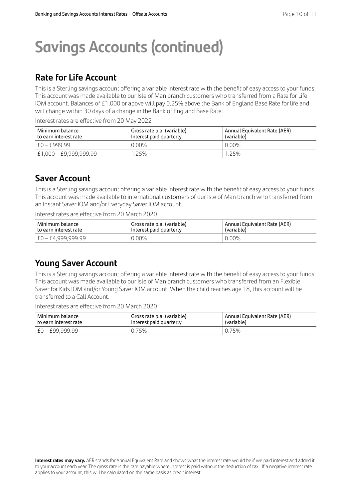### **Rate for Life Account**

This is a Sterling savings account offering a variable interest rate with the benefit of easy access to your funds. This account was made available to our Isle of Man branch customers who transferred from a Rate for Life IOM account. Balances of £1,000 or above will pay 0.25% above the Bank of England Base Rate for life and will change within 30 days of a change in the Bank of England Base Rate.

Interest rates are effective from 20 May 2022

| Minimum balance<br>to earn interest rate | <sup>'</sup> Gross rate p.a. (variable)<br>Interest paid quarterly | Annual Equivalent Rate (AER)<br>(variable) |
|------------------------------------------|--------------------------------------------------------------------|--------------------------------------------|
| $f() - f999.99$                          | 0.00%                                                              | 0.00%                                      |
| £1,000 - £9,999,999.99                   | 1.25%                                                              | 125%                                       |

### **Saver Account**

This is a Sterling savings account offering a variable interest rate with the benefit of easy access to your funds. This account was made available to international customers of our Isle of Man branch who transferred from an Instant Saver IOM and/or Everyday Saver IOM account.

Interest rates are effective from 20 March 2020

| Minimum balance       | Gross rate p.a. (variable) | Annual Equivalent Rate (AER) |
|-----------------------|----------------------------|------------------------------|
| to earn interest rate | Interest paid quarterly    | (variable)                   |
| £0 – £4,999,999.99    | 0.00%                      | $0.00\%$                     |

## **Young Saver Account**

This is a Sterling savings account offering a variable interest rate with the benefit of easy access to your funds. This account was made available to our Isle of Man branch customers who transferred from an Flexible Saver for Kids IOM and/or Young Saver IOM account. When the child reaches age 18, this account will be transferred to a Call Account.

Interest rates are effective from 20 March 2020

| Minimum balance       | ' Gross rate p.a. (variable) | Annual Equivalent Rate (AER) |
|-----------------------|------------------------------|------------------------------|
| to earn interest rate | Interest paid quarterly      | (variable)                   |
| £0 - £99.999.99       | 75%                          |                              |